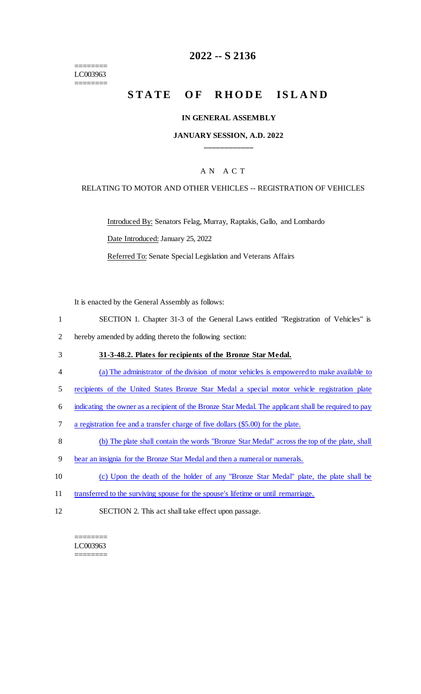======== LC003963 ========

## **2022 -- S 2136**

# **STATE OF RHODE ISLAND**

#### **IN GENERAL ASSEMBLY**

#### **JANUARY SESSION, A.D. 2022 \_\_\_\_\_\_\_\_\_\_\_\_**

#### A N A C T

#### RELATING TO MOTOR AND OTHER VEHICLES -- REGISTRATION OF VEHICLES

Introduced By: Senators Felag, Murray, Raptakis, Gallo, and Lombardo

Date Introduced: January 25, 2022

Referred To: Senate Special Legislation and Veterans Affairs

It is enacted by the General Assembly as follows:

- 1 SECTION 1. Chapter 31-3 of the General Laws entitled "Registration of Vehicles" is
- 2 hereby amended by adding thereto the following section:
- 3 **31-3-48.2. Plates for recipients of the Bronze Star Medal.**
- 4 (a) The administrator of the division of motor vehicles is empowered to make available to
- 5 recipients of the United States Bronze Star Medal a special motor vehicle registration plate
- 6 indicating the owner as a recipient of the Bronze Star Medal. The applicant shall be required to pay
- 7 a registration fee and a transfer charge of five dollars (\$5.00) for the plate.
- 8 (b) The plate shall contain the words "Bronze Star Medal" across the top of the plate, shall
- 9 bear an insignia for the Bronze Star Medal and then a numeral or numerals.
- 10 (c) Upon the death of the holder of any "Bronze Star Medal" plate, the plate shall be
- 11 transferred to the surviving spouse for the spouse's lifetime or until remarriage.
- 12 SECTION 2. This act shall take effect upon passage.

======== LC003963 ========